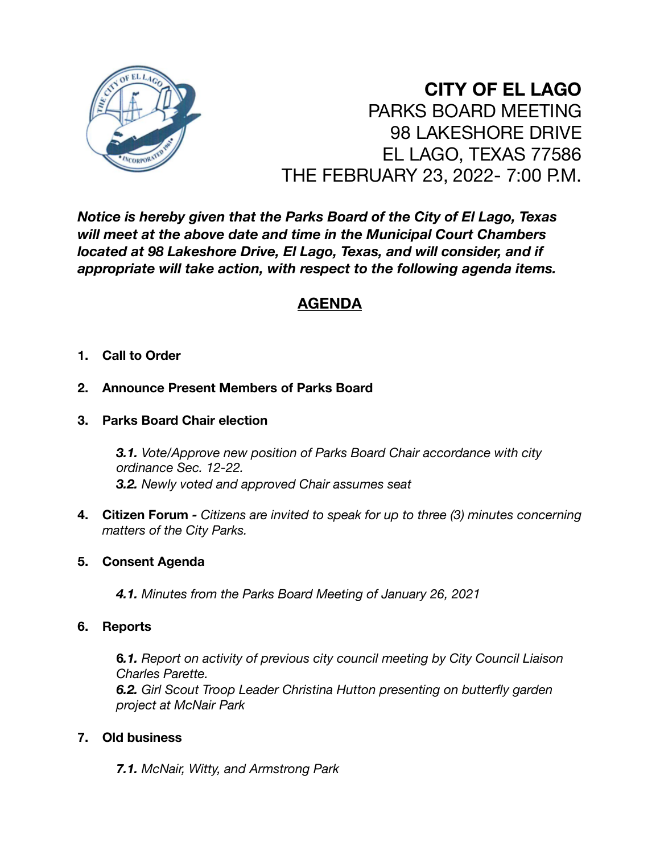

# **CITY OF EL LAGO** PARKS BOARD MEETING 98 LAKESHORE DRIVE EL LAGO, TEXAS 77586 THE FEBRUARY 23, 2022- 7:00 P.M.

*Notice is hereby given that the Parks Board of the City of El Lago, Texas will meet at the above date and time in the Municipal Court Chambers located at 98 Lakeshore Drive, El Lago, Texas, and will consider, and if appropriate will take action, with respect to the following agenda items.* 

# **AGENDA**

# **1. Call to Order**

# **2. Announce Present Members of Parks Board**

**3. Parks Board Chair election** 

*3.1. Vote/Approve new position of Parks Board Chair accordance with city ordinance Sec. 12-22. 3.2. Newly voted and approved Chair assumes seat* 

**4. Citizen Forum** *- Citizens are invited to speak for up to three (3) minutes concerning matters of the City Parks.*

## **5. Consent Agenda**

*4.1. Minutes from the Parks Board Meeting of January 26, 2021* 

# **6. Reports**

**6***.1. Report on activity of previous city council meeting by City Council Liaison Charles Parette. 6.2. Girl Scout Troop Leader Christina Hutton presenting on butterfly garden project at McNair Park* 

# **7. Old business**

*7.1. McNair, Witty, and Armstrong Park*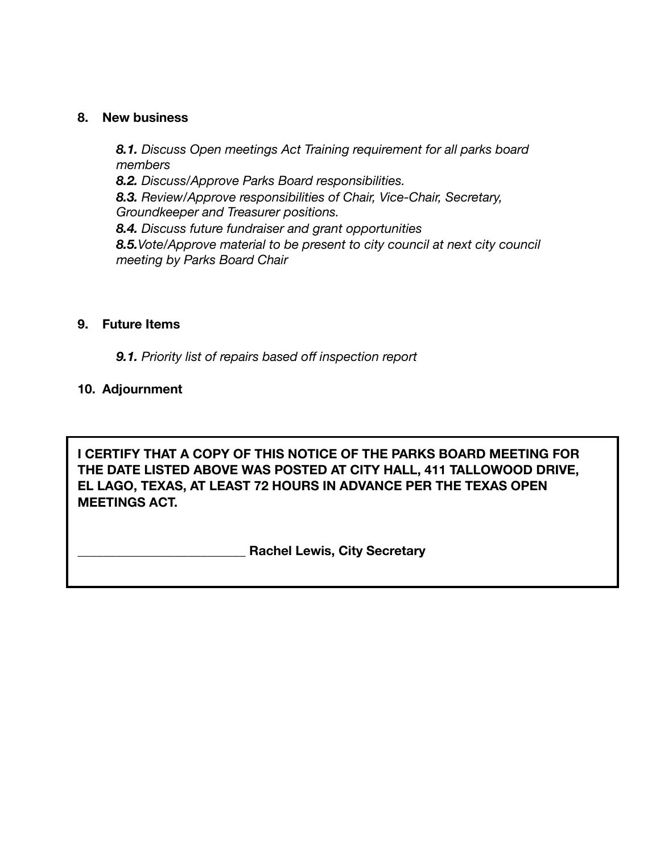## **8. New business**

*8.1. Discuss Open meetings Act Training requirement for all parks board members 8.2. Discuss/Approve Parks Board responsibilities. 8.3. Review/Approve responsibilities of Chair, Vice-Chair, Secretary, Groundkeeper and Treasurer positions. 8.4. Discuss future fundraiser and grant opportunities 8.5.Vote/Approve material to be present to city council at next city council meeting by Parks Board Chair* 

## **9. Future Items**

*9.1. Priority list of repairs based off inspection report* 

## **10. Adjournment**

**I CERTIFY THAT A COPY OF THIS NOTICE OF THE PARKS BOARD MEETING FOR THE DATE LISTED ABOVE WAS POSTED AT CITY HALL, 411 TALLOWOOD DRIVE, EL LAGO, TEXAS, AT LEAST 72 HOURS IN ADVANCE PER THE TEXAS OPEN MEETINGS ACT.** 

**\_\_\_\_\_\_\_\_\_\_\_\_\_\_\_\_\_\_\_\_\_\_\_\_\_\_ Rachel Lewis, City Secretary**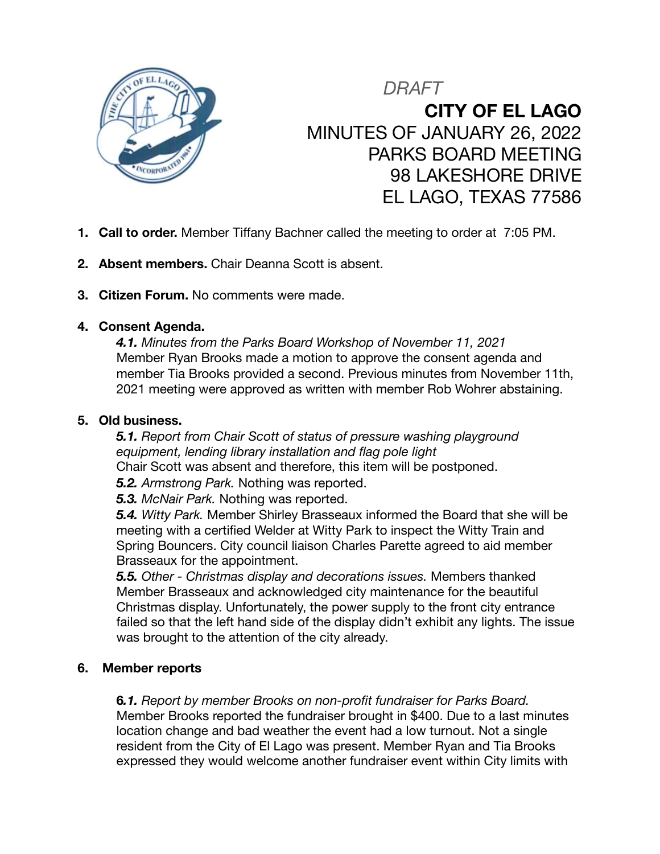

*DRAFT* **CITY OF EL LAGO** MINUTES OF JANUARY 26, 2022 PARKS BOARD MEETING 98 LAKESHORE DRIVE EL LAGO, TEXAS 77586

- **1. Call to order.** Member Tiffany Bachner called the meeting to order at 7:05 PM.
- **2. Absent members.** Chair Deanna Scott is absent.
- **3. Citizen Forum.** No comments were made.

## **4. Consent Agenda.**

*4.1. Minutes from the Parks Board Workshop of November 11, 2021*  Member Ryan Brooks made a motion to approve the consent agenda and member Tia Brooks provided a second. Previous minutes from November 11th, 2021 meeting were approved as written with member Rob Wohrer abstaining.

### **5. Old business.**

*5.1. Report from Chair Scott of status of pressure washing playground equipment, lending library installation and flag pole light*  Chair Scott was absent and therefore, this item will be postponed.

*5.2. Armstrong Park.* Nothing was reported.

*5.3. McNair Park.* Nothing was reported.

*5.4. Witty Park.* Member Shirley Brasseaux informed the Board that she will be meeting with a certified Welder at Witty Park to inspect the Witty Train and Spring Bouncers. City council liaison Charles Parette agreed to aid member Brasseaux for the appointment.

*5.5. Other - Christmas display and decorations issues.* Members thanked Member Brasseaux and acknowledged city maintenance for the beautiful Christmas display. Unfortunately, the power supply to the front city entrance failed so that the left hand side of the display didn't exhibit any lights. The issue was brought to the attention of the city already.

## **6. Member reports**

**6***.1. Report by member Brooks on non-profit fundraiser for Parks Board.* Member Brooks reported the fundraiser brought in \$400. Due to a last minutes location change and bad weather the event had a low turnout. Not a single resident from the City of El Lago was present. Member Ryan and Tia Brooks expressed they would welcome another fundraiser event within City limits with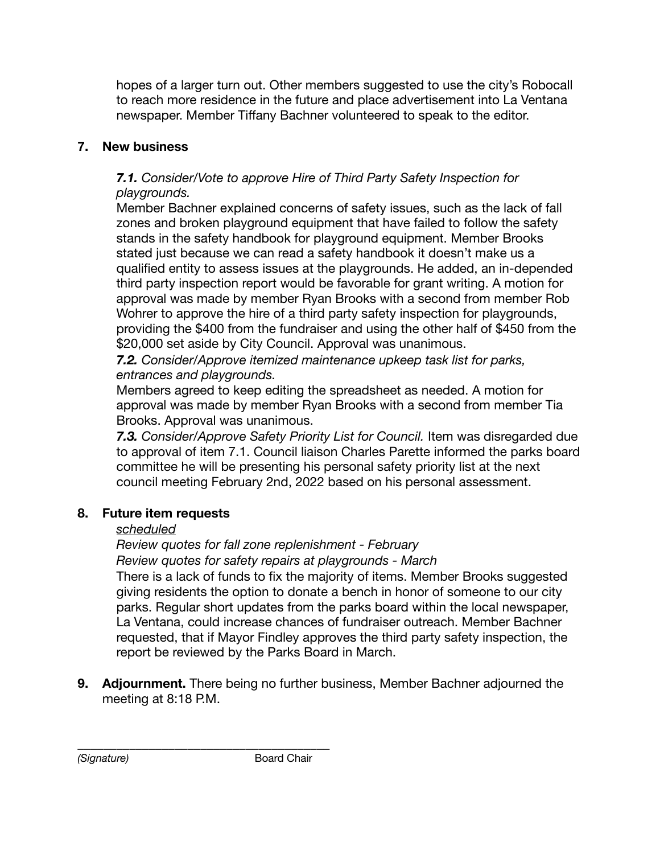hopes of a larger turn out. Other members suggested to use the city's Robocall to reach more residence in the future and place advertisement into La Ventana newspaper. Member Tiffany Bachner volunteered to speak to the editor.

# **7. New business**

# *7.1. Consider/Vote to approve Hire of Third Party Safety Inspection for playgrounds.*

Member Bachner explained concerns of safety issues, such as the lack of fall zones and broken playground equipment that have failed to follow the safety stands in the safety handbook for playground equipment. Member Brooks stated just because we can read a safety handbook it doesn't make us a qualified entity to assess issues at the playgrounds. He added, an in-depended third party inspection report would be favorable for grant writing. A motion for approval was made by member Ryan Brooks with a second from member Rob Wohrer to approve the hire of a third party safety inspection for playgrounds, providing the \$400 from the fundraiser and using the other half of \$450 from the \$20,000 set aside by City Council. Approval was unanimous.

*7.2. Consider/Approve itemized maintenance upkeep task list for parks, entrances and playgrounds.* 

Members agreed to keep editing the spreadsheet as needed. A motion for approval was made by member Ryan Brooks with a second from member Tia Brooks. Approval was unanimous.

**7.3.** Consider/Approve Safety Priority List for Council. Item was disregarded due to approval of item 7.1. Council liaison Charles Parette informed the parks board committee he will be presenting his personal safety priority list at the next council meeting February 2nd, 2022 based on his personal assessment.

# **8. Future item requests**

# *scheduled*

*Review quotes for fall zone replenishment - February Review quotes for safety repairs at playgrounds - March* 

There is a lack of funds to fix the majority of items. Member Brooks suggested giving residents the option to donate a bench in honor of someone to our city parks. Regular short updates from the parks board within the local newspaper, La Ventana, could increase chances of fundraiser outreach. Member Bachner requested, that if Mayor Findley approves the third party safety inspection, the report be reviewed by the Parks Board in March.

**9. Adjournment.** There being no further business, Member Bachner adjourned the meeting at 8:18 P.M.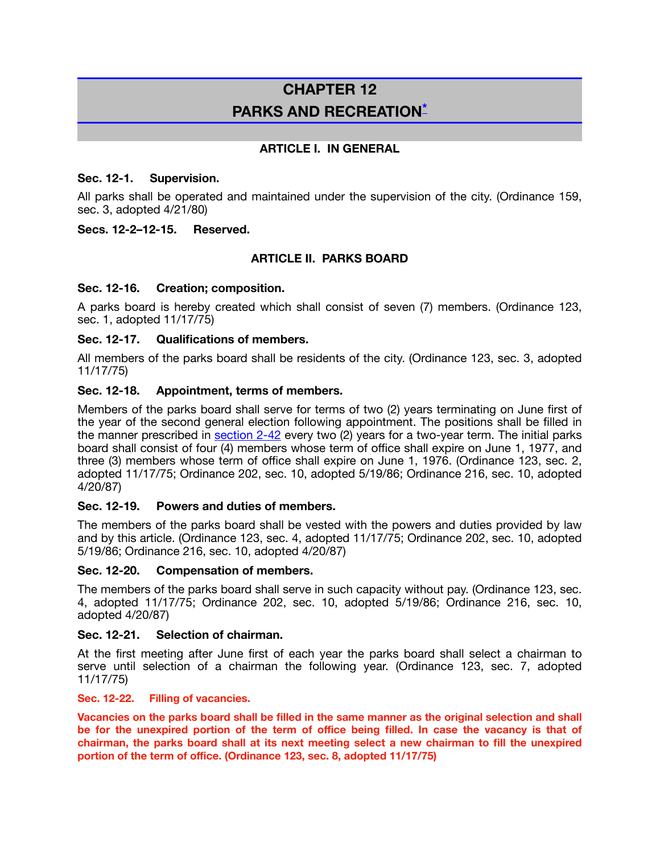# **CHAPTER 12 PARKS AND RECREATION\***

#### **ARTICLE I. IN GENERAL**

#### **Sec. 12-1. Supervision.**

All parks shall be operated and maintained under the supervision of the city. (Ordinance 159, sec. 3, adopted 4/21/80)

#### **Secs. 12-2–12-15. Reserved.**

### **ARTICLE II. PARKS BOARD**

#### **Sec. 12-16. Creation; composition.**

A parks board is hereby created which shall consist of seven (7) members. (Ordinance 123, sec. 1, adopted 11/17/75)

#### **Sec. 12-17. Qualifications of members.**

All members of the parks board shall be residents of the city. (Ordinance 123, sec. 3, adopted 11/17/75)

#### **Sec. 12-18. Appointment, terms of members.**

Members of the parks board shall serve for terms of two (2) years terminating on June first of the year of the second general election following appointment. The positions shall be filled in the manner prescribed in section 2-42 every two (2) years for a two-year term. The initial parks board shall consist of four (4) members whose term of office shall expire on June 1, 1977, and three (3) members whose term of office shall expire on June 1, 1976. (Ordinance 123, sec. 2, adopted 11/17/75; Ordinance 202, sec. 10, adopted 5/19/86; Ordinance 216, sec. 10, adopted 4/20/87)

#### **Sec. 12-19. Powers and duties of members.**

The members of the parks board shall be vested with the powers and duties provided by law and by this article. (Ordinance 123, sec. 4, adopted 11/17/75; Ordinance 202, sec. 10, adopted 5/19/86; Ordinance 216, sec. 10, adopted 4/20/87)

#### **Sec. 12-20. Compensation of members.**

The members of the parks board shall serve in such capacity without pay. (Ordinance 123, sec. 4, adopted 11/17/75; Ordinance 202, sec. 10, adopted 5/19/86; Ordinance 216, sec. 10, adopted 4/20/87)

#### **Sec. 12-21. Selection of chairman.**

At the first meeting after June first of each year the parks board shall select a chairman to serve until selection of a chairman the following year. (Ordinance 123, sec. 7, adopted 11/17/75)

#### **Sec. 12-22. Filling of vacancies.**

**Vacancies on the parks board shall be filled in the same manner as the original selection and shall be for the unexpired portion of the term of office being filled. In case the vacancy is that of chairman, the parks board shall at its next meeting select a new chairman to fill the unexpired portion of the term of office. (Ordinance 123, sec. 8, adopted 11/17/75)**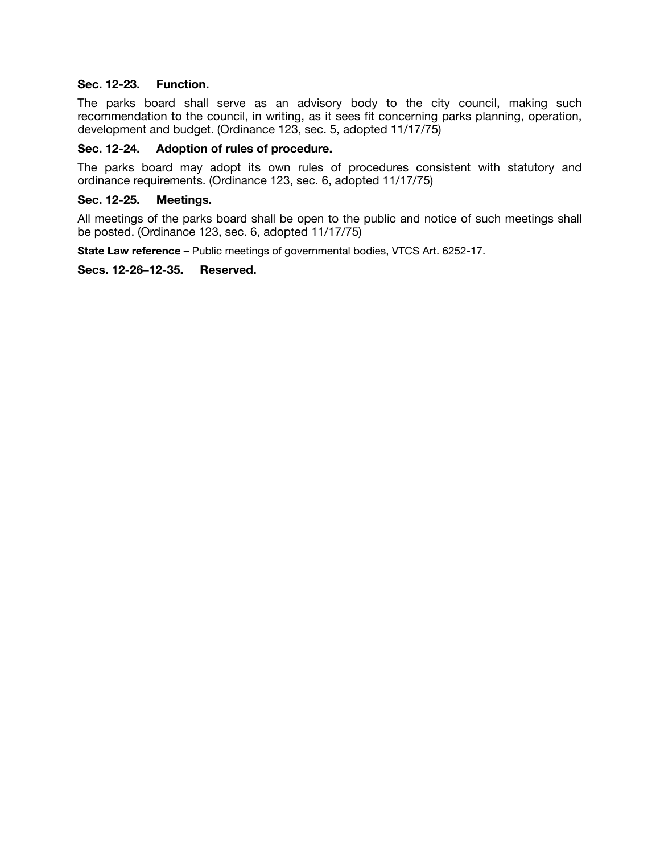#### **Sec. 12-23. Function.**

The parks board shall serve as an advisory body to the city council, making such recommendation to the council, in writing, as it sees fit concerning parks planning, operation, development and budget. (Ordinance 123, sec. 5, adopted 11/17/75)

#### **Sec. 12-24. Adoption of rules of procedure.**

The parks board may adopt its own rules of procedures consistent with statutory and ordinance requirements. (Ordinance 123, sec. 6, adopted 11/17/75)

#### **Sec. 12-25. Meetings.**

All meetings of the parks board shall be open to the public and notice of such meetings shall be posted. (Ordinance 123, sec. 6, adopted 11/17/75)

**State Law reference** – Public meetings of governmental bodies, VTCS Art. 6252-17.

#### **Secs. 12-26–12-35. Reserved.**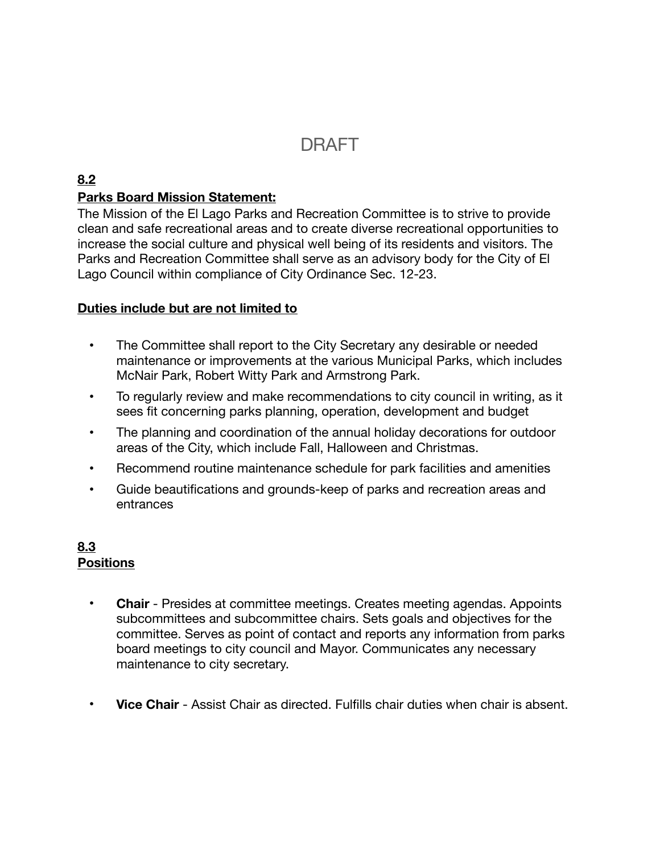# **DRAFT**

# **8.2**

# **Parks Board Mission Statement:**

The Mission of the El Lago Parks and Recreation Committee is to strive to provide clean and safe recreational areas and to create diverse recreational opportunities to increase the social culture and physical well being of its residents and visitors. The Parks and Recreation Committee shall serve as an advisory body for the City of El Lago Council within compliance of City Ordinance Sec. 12-23.

# **Duties include but are not limited to**

- The Committee shall report to the City Secretary any desirable or needed maintenance or improvements at the various Municipal Parks, which includes McNair Park, Robert Witty Park and Armstrong Park.
- To regularly review and make recommendations to city council in writing, as it sees fit concerning parks planning, operation, development and budget
- The planning and coordination of the annual holiday decorations for outdoor areas of the City, which include Fall, Halloween and Christmas.
- Recommend routine maintenance schedule for park facilities and amenities
- Guide beautifications and grounds-keep of parks and recreation areas and entrances

# **8.3 Positions**

- **Chair** Presides at committee meetings. Creates meeting agendas. Appoints subcommittees and subcommittee chairs. Sets goals and objectives for the committee. Serves as point of contact and reports any information from parks board meetings to city council and Mayor. Communicates any necessary maintenance to city secretary.
- **Vice Chair** Assist Chair as directed. Fulfills chair duties when chair is absent.